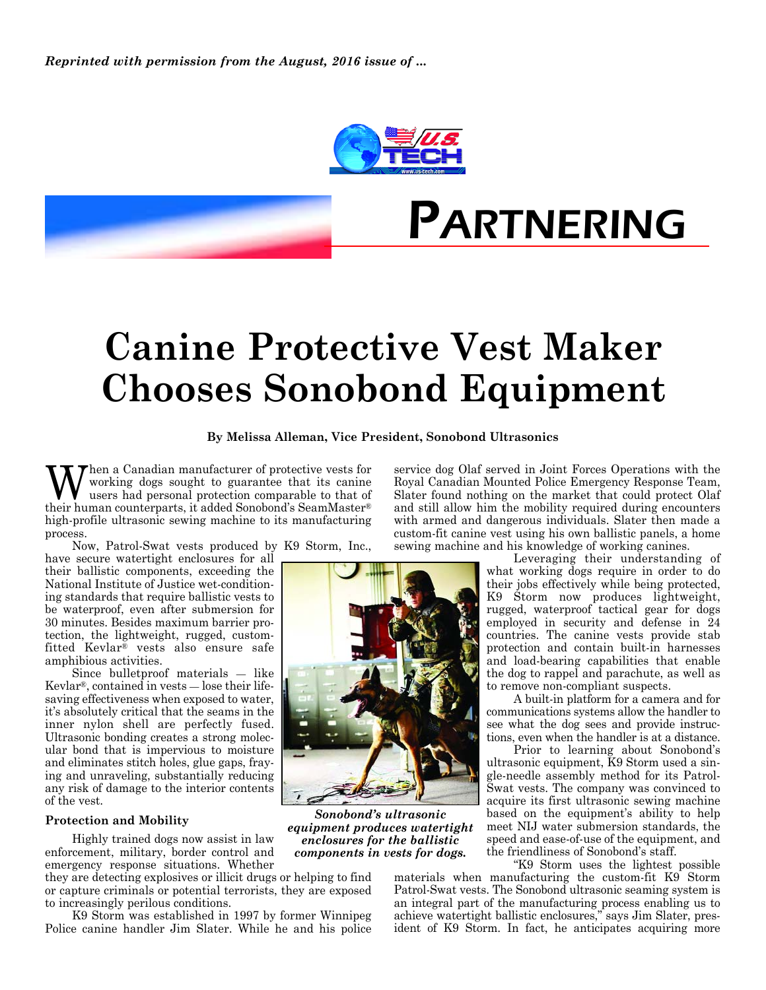



## **Canine Protective Vest Maker Chooses Sonobond Equipment**

**By Melissa Alleman, Vice President, Sonobond Ultrasonics**

When a Canadian manufacturer of protective vests for<br>working dogs sought to guarantee that its canine<br>were had personal protection comparable to that of working dogs sought to guarantee that its canine their human counterparts, it added Sonobond's SeamMaster® high-profile ultrasonic sewing machine to its manufacturing process.

Now, Patrol-Swat vests produced by K9 Storm, Inc.,

have secure watertight enclosures for all their ballistic components, exceeding the National Institute of Justice wet-conditioning standards that require ballistic vests to be waterproof, even after submersion for 30 minutes. Besides maximum barrier protection, the lightweight, rugged, customfitted Kevlar® vests also ensure safe amphibious activities.

Since bulletproof materials — like Kevlar®, contained in vests — lose their lifesaving effectiveness when exposed to water, it's absolutely critical that the seams in the inner nylon shell are perfectly fused. Ultrasonic bonding creates a strong molecular bond that is impervious to moisture and eliminates stitch holes, glue gaps, fraying and unraveling, substantially reducing any risk of damage to the interior contents of the vest.

## **Protection and Mobility**

Highly trained dogs now assist in law enforcement, military, border control and emergency response situations. Whether

they are detecting explosives or illicit drugs or helping to find or capture criminals or potential terrorists, they are exposed to increasingly perilous conditions.

K9 Storm was established in 1997 by former Winnipeg Police canine handler Jim Slater. While he and his police service dog Olaf served in Joint Forces Operations with the Royal Canadian Mounted Police Emergency Response Team, Slater found nothing on the market that could protect Olaf and still allow him the mobility required during encounters with armed and dangerous individuals. Slater then made a custom-fit canine vest using his own ballistic panels, a home sewing machine and his knowledge of working canines.

> Leveraging their understanding of what working dogs require in order to do their jobs effectively while being protected, K9 Storm now produces lightweight, rugged, waterproof tactical gear for dogs employed in security and defense in 24 countries. The canine vests provide stab protection and contain built-in harnesses and load-bearing capabilities that enable the dog to rappel and parachute, as well as to remove non-compliant suspects.

> A built-in platform for a camera and for communications systems allow the handler to see what the dog sees and provide instructions, even when the handler is at a distance.

> Prior to learning about Sonobond's ultrasonic equipment, K9 Storm used a single-needle assembly method for its Patrol-Swat vests. The company was convinced to acquire its first ultrasonic sewing machine based on the equipment's ability to help meet NIJ water submersion standards, the speed and ease-of-use of the equipment, and the friendliness of Sonobond's staff.

"K9 Storm uses the lightest possible materials when manufacturing the custom-fit K9 Storm Patrol-Swat vests. The Sonobond ultrasonic seaming system is an integral part of the manufacturing process enabling us to achieve watertight ballistic enclosures," says Jim Slater, president of K9 Storm. In fact, he anticipates acquiring more



*Sonobond's ultrasonic equipment produces watertight enclosures for the ballistic components in vests for dogs.*